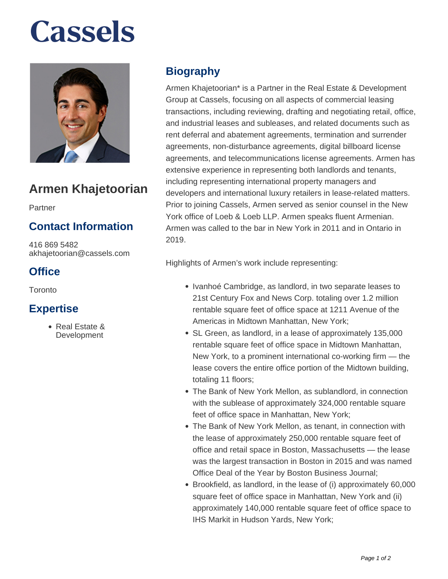# **Cassels**



# **Armen Khajetoorian**

Partner

## **Contact Information**

416 869 5482 akhajetoorian@cassels.com

## **Office**

Toronto

### **Expertise**

Real Estate & **Development** 

## **Biography**

Armen Khajetoorian\* is a Partner in the Real Estate & Development Group at Cassels, focusing on all aspects of commercial leasing transactions, including reviewing, drafting and negotiating retail, office, and industrial leases and subleases, and related documents such as rent deferral and abatement agreements, termination and surrender agreements, non-disturbance agreements, digital billboard license agreements, and telecommunications license agreements. Armen has extensive experience in representing both landlords and tenants, including representing international property managers and developers and international luxury retailers in lease-related matters. Prior to joining Cassels, Armen served as senior counsel in the New York office of Loeb & Loeb LLP. Armen speaks fluent Armenian. Armen was called to the bar in New York in 2011 and in Ontario in 2019.

Highlights of Armen's work include representing:

- Ivanhoé Cambridge, as landlord, in two separate leases to 21st Century Fox and News Corp. totaling over 1.2 million rentable square feet of office space at 1211 Avenue of the Americas in Midtown Manhattan, New York;
- SL Green, as landlord, in a lease of approximately 135,000 rentable square feet of office space in Midtown Manhattan, New York, to a prominent international co-working firm — the lease covers the entire office portion of the Midtown building, totaling 11 floors;
- The Bank of New York Mellon, as sublandlord, in connection with the sublease of approximately 324,000 rentable square feet of office space in Manhattan, New York;
- The Bank of New York Mellon, as tenant, in connection with the lease of approximately 250,000 rentable square feet of office and retail space in Boston, Massachusetts — the lease was the largest transaction in Boston in 2015 and was named Office Deal of the Year by Boston Business Journal;
- Brookfield, as landlord, in the lease of (i) approximately 60,000 square feet of office space in Manhattan, New York and (ii) approximately 140,000 rentable square feet of office space to IHS Markit in Hudson Yards, New York;